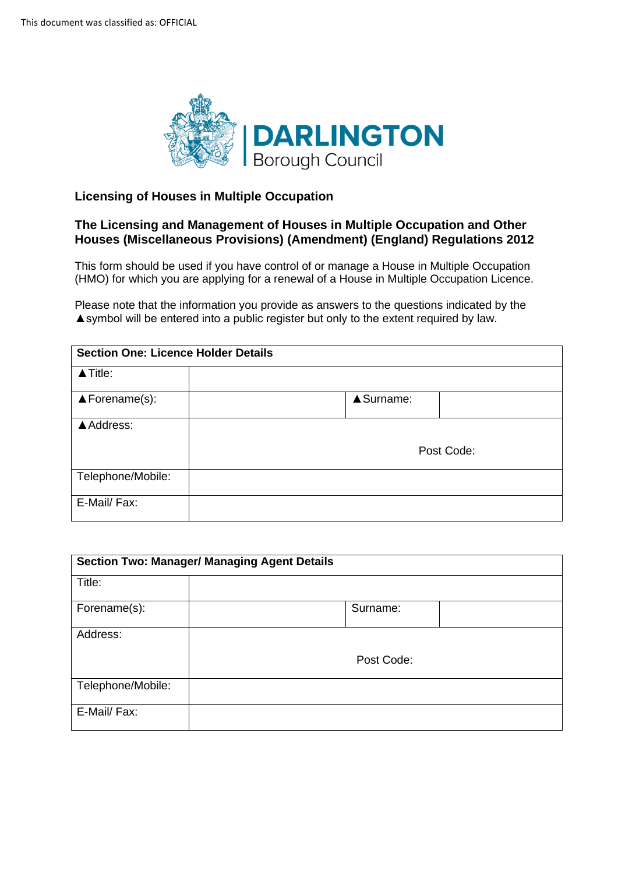

## **Licensing of Houses in Multiple Occupation**

## **The Licensing and Management of Houses in Multiple Occupation and Other Houses (Miscellaneous Provisions) (Amendment) (England) Regulations 2012**

 This form should be used if you have control of or manage a House in Multiple Occupation (HMO) for which you are applying for a renewal of a House in Multiple Occupation Licence.

 Please note that the information you provide as answers to the questions indicated by the ▲symbol will be entered into a public register but only to the extent required by law.

| <b>Section One: Licence Holder Details</b> |            |            |
|--------------------------------------------|------------|------------|
| $\blacktriangle$ Title:                    |            |            |
| $\triangle$ Forename(s):                   | ▲ Surname: |            |
| ▲ Address:                                 |            |            |
|                                            |            | Post Code: |
| Telephone/Mobile:                          |            |            |
| E-Mail/ Fax:                               |            |            |

| <b>Section Two: Manager/ Managing Agent Details</b> |            |  |
|-----------------------------------------------------|------------|--|
| Title:                                              |            |  |
| Forename(s):                                        | Surname:   |  |
| Address:                                            |            |  |
|                                                     | Post Code: |  |
| Telephone/Mobile:                                   |            |  |
| E-Mail/ Fax:                                        |            |  |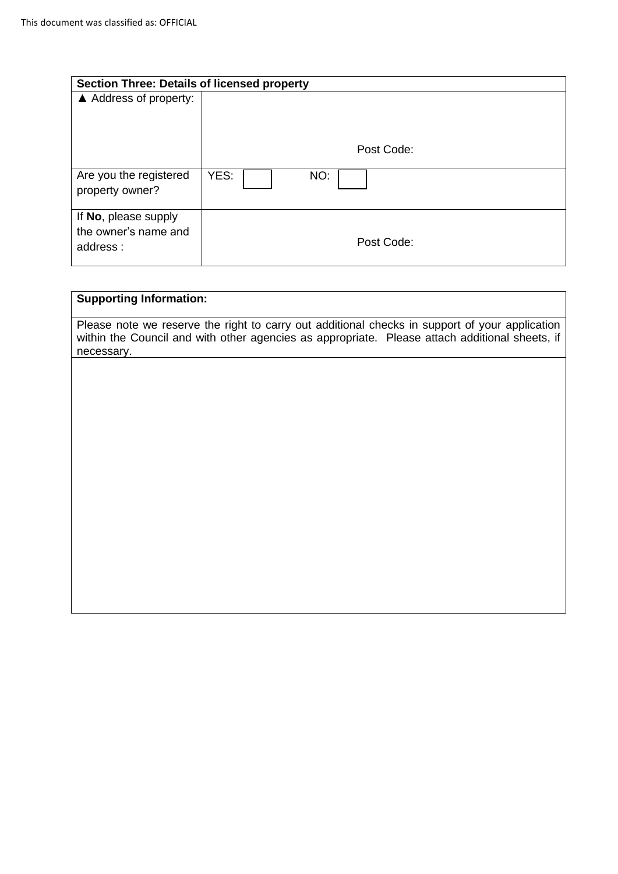| <b>Section Three: Details of licensed property</b>       |             |
|----------------------------------------------------------|-------------|
| ▲ Address of property:                                   |             |
|                                                          | Post Code:  |
| Are you the registered<br>property owner?                | YES:<br>NO: |
| If No, please supply<br>the owner's name and<br>address: | Post Code:  |

# **Supporting Information:**

Please note we reserve the right to carry out additional checks in support of your application within the Council and with other agencies as appropriate. Please attach additional sheets, if necessary.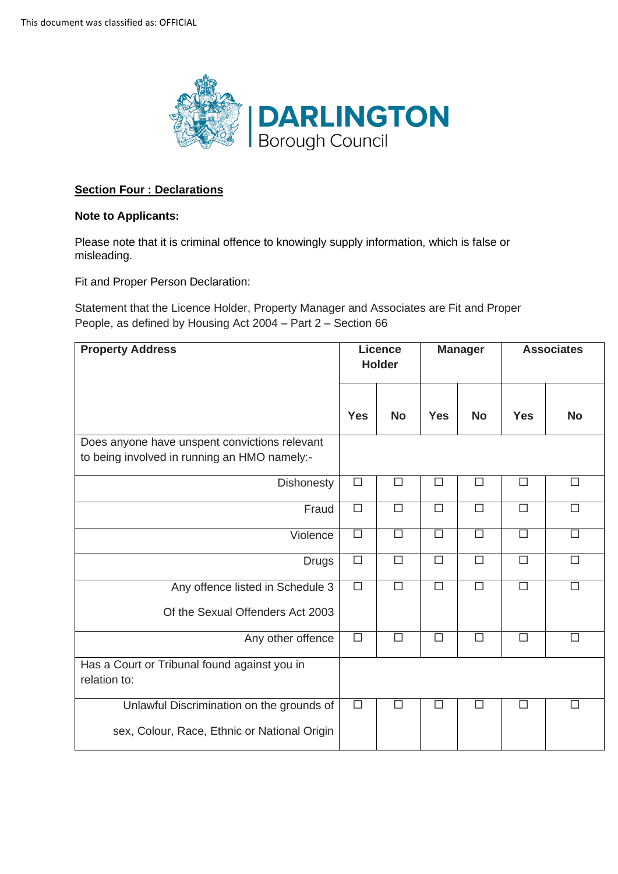

#### **Section Four : Declarations**

#### **Note to Applicants:**

 Please note that it is criminal offence to knowingly supply information, which is false or misleading.

misleading.<br>Fit and Proper Person Declaration:

 Statement that the Licence Holder, Property Manager and Associates are Fit and Proper People, as defined by Housing Act 2004 – Part 2 – Section 66

| <b>Property Address</b>                                                                       | <b>Licence</b><br><b>Holder</b> |           | <b>Manager</b> |           | <b>Associates</b> |           |
|-----------------------------------------------------------------------------------------------|---------------------------------|-----------|----------------|-----------|-------------------|-----------|
|                                                                                               | <b>Yes</b>                      | <b>No</b> | <b>Yes</b>     | <b>No</b> | <b>Yes</b>        | <b>No</b> |
| Does anyone have unspent convictions relevant<br>to being involved in running an HMO namely:- |                                 |           |                |           |                   |           |
| <b>Dishonesty</b>                                                                             | $\Box$                          | $\Box$    | $\Box$         | $\Box$    | $\Box$            | $\Box$    |
| Fraud                                                                                         | $\Box$                          | $\Box$    | $\Box$         | $\Box$    | $\Box$            | $\Box$    |
| Violence                                                                                      | $\Box$                          | $\Box$    | $\Box$         | $\Box$    | $\Box$            | $\Box$    |
| <b>Drugs</b>                                                                                  | $\Box$                          | $\Box$    | $\Box$         | $\Box$    | $\Box$            | $\Box$    |
| Any offence listed in Schedule 3<br>Of the Sexual Offenders Act 2003                          | $\Box$                          | $\Box$    | $\Box$         | $\Box$    | $\Box$            | П         |
| Any other offence                                                                             | $\Box$                          | $\Box$    | $\Box$         | $\Box$    | $\Box$            | $\Box$    |
| Has a Court or Tribunal found against you in<br>relation to:                                  |                                 |           |                |           |                   |           |
| Unlawful Discrimination on the grounds of<br>sex, Colour, Race, Ethnic or National Origin     | $\Box$                          | $\Box$    | $\Box$         | П         | $\Box$            | $\Box$    |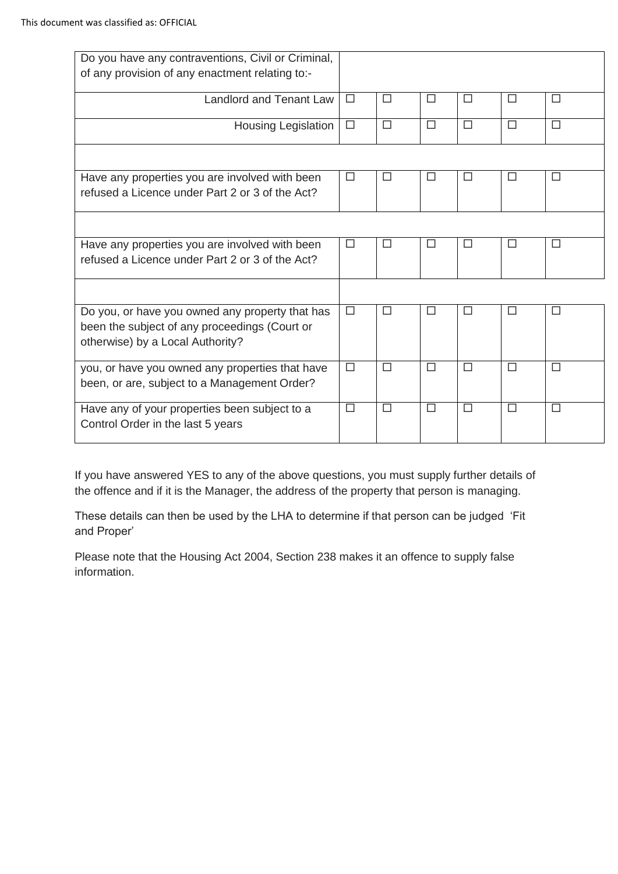| Do you have any contraventions, Civil or Criminal,<br>of any provision of any enactment relating to:-                                |        |        |        |        |        |        |
|--------------------------------------------------------------------------------------------------------------------------------------|--------|--------|--------|--------|--------|--------|
| Landlord and Tenant Law                                                                                                              | $\Box$ | □      | $\Box$ | □      | □      | $\Box$ |
| Housing Legislation                                                                                                                  | $\Box$ | $\Box$ | $\Box$ | $\Box$ | $\Box$ | $\Box$ |
|                                                                                                                                      |        |        |        |        |        |        |
| Have any properties you are involved with been<br>refused a Licence under Part 2 or 3 of the Act?                                    | $\Box$ | □      | □      | $\Box$ | □      | □      |
|                                                                                                                                      |        |        |        |        |        |        |
| Have any properties you are involved with been<br>refused a Licence under Part 2 or 3 of the Act?                                    | □      | П      | П      | П      | П      | □      |
|                                                                                                                                      |        |        |        |        |        |        |
| Do you, or have you owned any property that has<br>been the subject of any proceedings (Court or<br>otherwise) by a Local Authority? | $\Box$ | $\Box$ | $\Box$ | □      | $\Box$ | $\Box$ |
| you, or have you owned any properties that have<br>been, or are, subject to a Management Order?                                      | $\Box$ | $\Box$ | П      | □      | $\Box$ | $\Box$ |
| Have any of your properties been subject to a<br>Control Order in the last 5 years                                                   | $\Box$ | $\Box$ | П      | П      | П      | □      |

 If you have answered YES to any of the above questions, you must supply further details of the offence and if it is the Manager, the address of the property that person is managing.

 These details can then be used by the LHA to determine if that person can be judged 'Fit and Proper'

 Please note that the Housing Act 2004, Section 238 makes it an offence to supply false information.